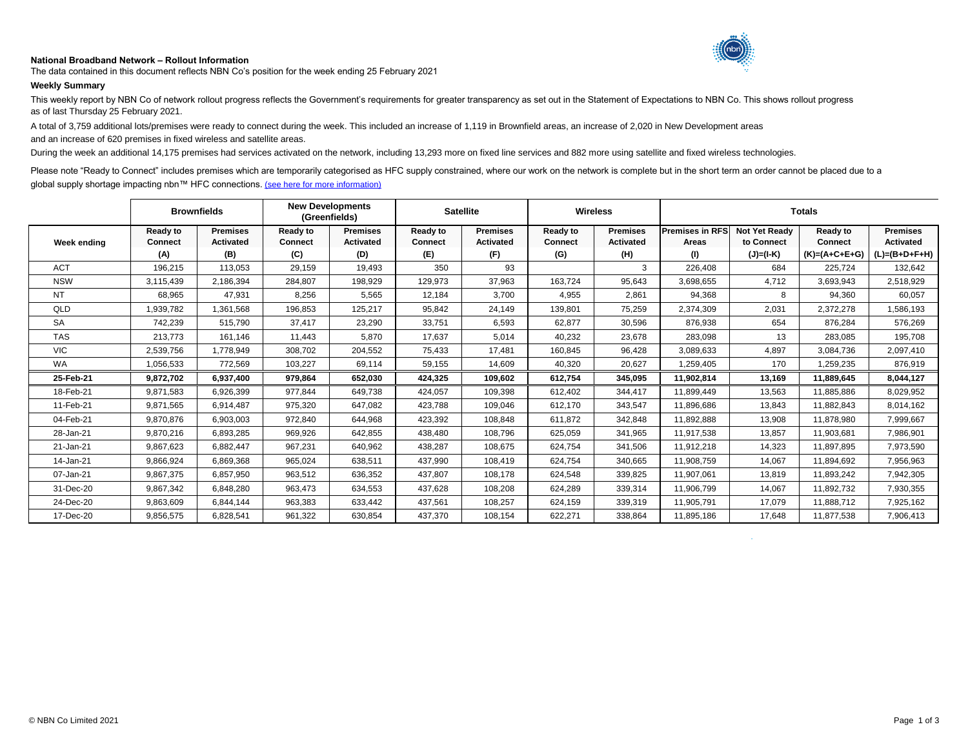## **National Broadband Network – Rollout Information**



The data contained in this document reflects NBN Co's position for the week ending 25 February 2021

## **Weekly Summary**

This weekly report by NBN Co of network rollout progress reflects the Government's requirements for greater transparency as set out in the Statement of Expectations to NBN Co. This shows rollout progress as of last Thursday 25 February 2021.

A total of 3,759 additional lots/premises were ready to connect during the week. This included an increase of 1,119 in Brownfield areas, an increase of 2,020 in New Development areas

and an increase of 620 premises in fixed wireless and satellite areas.

During the week an additional 14,175 premises had services activated on the network, including 13,293 more on fixed line services and 882 more using satellite and fixed wireless technologies.

Please note "Ready to Connect" includes premises which are temporarily categorised as HFC supply constrained, where our work on the network is complete but in the short term an order cannot be placed due to a global supply shortage impacting nbn™ HFC connections. [\(see here for more information\)](https://www.nbnco.com.au/utility/global-supply-shortage-impacting-nbn-HFC-connections)

|             | <b>Brownfields</b>                |                                     | <b>New Developments</b><br>(Greenfields) |                                     | <b>Satellite</b>                  |                                     | <b>Wireless</b>            |                                     | <b>Totals</b>                   |                                    |                            |                                     |
|-------------|-----------------------------------|-------------------------------------|------------------------------------------|-------------------------------------|-----------------------------------|-------------------------------------|----------------------------|-------------------------------------|---------------------------------|------------------------------------|----------------------------|-------------------------------------|
| Week ending | <b>Ready to</b><br><b>Connect</b> | <b>Premises</b><br><b>Activated</b> | Ready to<br><b>Connect</b>               | <b>Premises</b><br><b>Activated</b> | <b>Ready to</b><br><b>Connect</b> | <b>Premises</b><br><b>Activated</b> | Ready to<br><b>Connect</b> | <b>Premises</b><br><b>Activated</b> | <b>Premises in RFS</b><br>Areas | <b>Not Yet Ready</b><br>to Connect | Ready to<br><b>Connect</b> | <b>Premises</b><br><b>Activated</b> |
|             | (A)                               | (B)                                 | (C)                                      | (D)                                 | (E)                               | (F)                                 | (G)                        | (H)                                 | (1)                             | $(J)=(I-K)$                        | $(K)=(A+C+E+G)$            | $(L)=(B+D+F+H)$                     |
| <b>ACT</b>  | 196,215                           | 113,053                             | 29,159                                   | 19,493                              | 350                               | 93                                  |                            | 3                                   | 226,408                         | 684                                | 225,724                    | 132,642                             |
| <b>NSW</b>  | 3,115,439                         | 2,186,394                           | 284,807                                  | 198,929                             | 129,973                           | 37,963                              | 163,724                    | 95,643                              | 3,698,655                       | 4,712                              | 3,693,943                  | 2,518,929                           |
| <b>NT</b>   | 68,965                            | 47,931                              | 8,256                                    | 5,565                               | 12,184                            | 3.700                               | 4,955                      | 2,861                               | 94,368                          | 8                                  | 94,360                     | 60,057                              |
| QLD         | 1,939,782                         | 1,361,568                           | 196,853                                  | 125,217                             | 95,842                            | 24,149                              | 139,801                    | 75,259                              | 2,374,309                       | 2,031                              | 2,372,278                  | 1,586,193                           |
| <b>SA</b>   | 742.239                           | 515.790                             | 37.417                                   | 23.290                              | 33,751                            | 6.593                               | 62,877                     | 30.596                              | 876,938                         | 654                                | 876.284                    | 576,269                             |
| <b>TAS</b>  | 213.773                           | 161.146                             | 11.443                                   | 5.870                               | 17,637                            | 5.014                               | 40.232                     | 23.678                              | 283,098                         | 13                                 | 283,085                    | 195,708                             |
| <b>VIC</b>  | 2,539,756                         | 1,778,949                           | 308,702                                  | 204,552                             | 75.433                            | 17.481                              | 160,845                    | 96.428                              | 3,089,633                       | 4.897                              | 3,084,736                  | 2,097,410                           |
| <b>WA</b>   | 1,056,533                         | 772,569                             | 103,227                                  | 69,114                              | 59,155                            | 14,609                              | 40,320                     | 20,627                              | 1,259,405                       | 170                                | 1,259,235                  | 876,919                             |
| 25-Feb-21   | 9,872,702                         | 6,937,400                           | 979,864                                  | 652.030                             | 424,325                           | 109.602                             | 612,754                    | 345.095                             | 11,902,814                      | 13,169                             | 11.889.645                 | 8,044,127                           |
| 18-Feb-21   | 9,871,583                         | 6,926,399                           | 977,844                                  | 649,738                             | 424,057                           | 109,398                             | 612,402                    | 344,417                             | 11,899,449                      | 13,563                             | 11,885,886                 | 8,029,952                           |
| 11-Feb-21   | 9,871,565                         | 6,914,487                           | 975,320                                  | 647.082                             | 423,788                           | 109,046                             | 612.170                    | 343,547                             | 11,896,686                      | 13,843                             | 11,882,843                 | 8,014,162                           |
| 04-Feb-21   | 9,870,876                         | 6,903,003                           | 972,840                                  | 644,968                             | 423,392                           | 108,848                             | 611,872                    | 342,848                             | 11,892,888                      | 13,908                             | 11,878,980                 | 7,999,667                           |
| 28-Jan-21   | 9,870,216                         | 6,893,285                           | 969,926                                  | 642,855                             | 438,480                           | 108.796                             | 625,059                    | 341,965                             | 11,917,538                      | 13,857                             | 11,903,681                 | 7,986,901                           |
| 21-Jan-21   | 9,867,623                         | 6,882,447                           | 967.231                                  | 640.962                             | 438.287                           | 108.675                             | 624.754                    | 341.506                             | 11,912,218                      | 14.323                             | 11.897.895                 | 7,973,590                           |
| 14-Jan-21   | 9,866,924                         | 6,869,368                           | 965,024                                  | 638,511                             | 437,990                           | 108.419                             | 624,754                    | 340,665                             | 11,908,759                      | 14,067                             | 11,894,692                 | 7,956,963                           |
| 07-Jan-21   | 9,867,375                         | 6,857,950                           | 963,512                                  | 636,352                             | 437,807                           | 108,178                             | 624,548                    | 339,825                             | 11,907,061                      | 13,819                             | 11,893,242                 | 7,942,305                           |
| 31-Dec-20   | 9,867,342                         | 6,848,280                           | 963,473                                  | 634,553                             | 437,628                           | 108,208                             | 624,289                    | 339,314                             | 11,906,799                      | 14,067                             | 11,892,732                 | 7,930,355                           |
| 24-Dec-20   | 9,863,609                         | 6,844,144                           | 963,383                                  | 633,442                             | 437,561                           | 108,257                             | 624,159                    | 339,319                             | 11,905,791                      | 17,079                             | 11,888,712                 | 7,925,162                           |
| 17-Dec-20   | 9,856,575                         | 6,828,541                           | 961,322                                  | 630,854                             | 437,370                           | 108,154                             | 622,271                    | 338,864                             | 11,895,186                      | 17,648                             | 11,877,538                 | 7,906,413                           |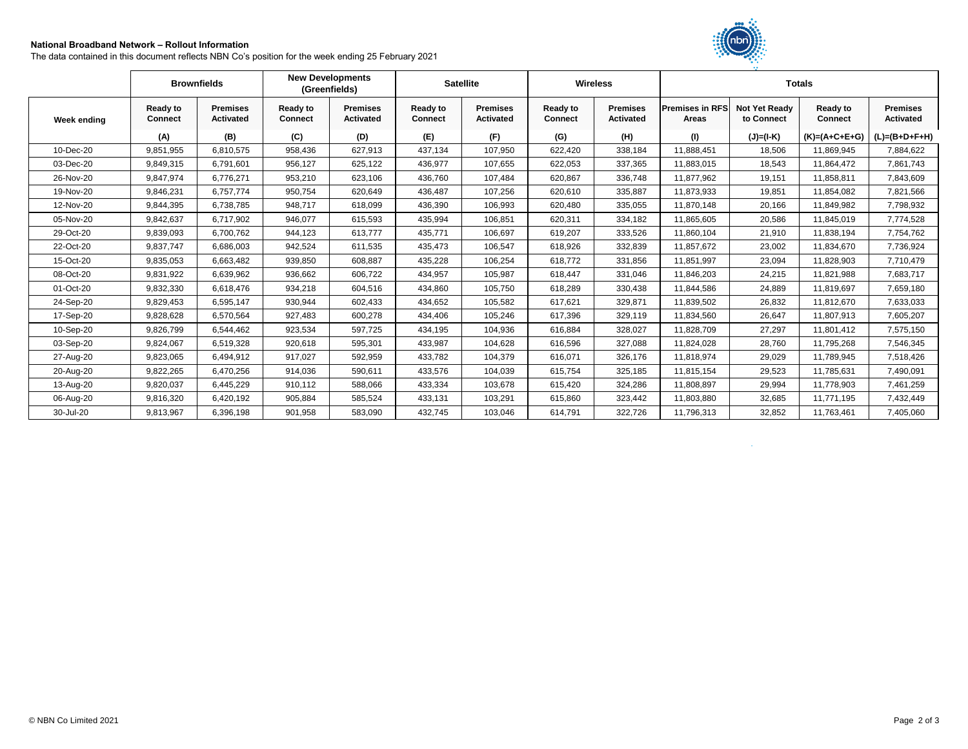## **National Broadband Network – Rollout Information**

The data contained in this document reflects NBN Co's position for the week ending 25 February 2021



|             | <b>Brownfields</b>                |                                     | <b>New Developments</b><br>(Greenfields) |                                     | <b>Satellite</b>                  |                                     | <b>Wireless</b>            |                                     | <b>Totals</b>                   |                                    |                                   |                                     |
|-------------|-----------------------------------|-------------------------------------|------------------------------------------|-------------------------------------|-----------------------------------|-------------------------------------|----------------------------|-------------------------------------|---------------------------------|------------------------------------|-----------------------------------|-------------------------------------|
| Week ending | <b>Ready to</b><br><b>Connect</b> | <b>Premises</b><br><b>Activated</b> | <b>Ready to</b><br><b>Connect</b>        | <b>Premises</b><br><b>Activated</b> | <b>Ready to</b><br><b>Connect</b> | <b>Premises</b><br><b>Activated</b> | Ready to<br><b>Connect</b> | <b>Premises</b><br><b>Activated</b> | <b>Premises in RFS</b><br>Areas | <b>Not Yet Ready</b><br>to Connect | <b>Ready to</b><br><b>Connect</b> | <b>Premises</b><br><b>Activated</b> |
|             | (A)                               | (B)                                 | (C)                                      | (D)                                 | (E)                               | (F)                                 | (G)                        | (H)                                 | (1)                             | (J)=(I-K)                          | $(K)=(A+C+E+G)$                   | $(L)=(B+D+F+H)$                     |
| 10-Dec-20   | 9,851,955                         | 6,810,575                           | 958,436                                  | 627,913                             | 437,134                           | 107,950                             | 622,420                    | 338,184                             | 11,888,451                      | 18,506                             | 11,869,945                        | 7,884,622                           |
| 03-Dec-20   | 9,849,315                         | 6,791,601                           | 956,127                                  | 625,122                             | 436,977                           | 107,655                             | 622,053                    | 337,365                             | 11,883,015                      | 18,543                             | 11,864,472                        | 7,861,743                           |
| 26-Nov-20   | 9,847,974                         | 6,776,271                           | 953,210                                  | 623.106                             | 436,760                           | 107,484                             | 620.867                    | 336,748                             | 11,877,962                      | 19,151                             | 11,858,811                        | 7,843,609                           |
| 19-Nov-20   | 9,846,231                         | 6,757,774                           | 950,754                                  | 620,649                             | 436,487                           | 107,256                             | 620,610                    | 335,887                             | 11,873,933                      | 19,851                             | 11,854,082                        | 7,821,566                           |
| 12-Nov-20   | 9,844,395                         | 6,738,785                           | 948,717                                  | 618,099                             | 436,390                           | 106,993                             | 620,480                    | 335,055                             | 11,870,148                      | 20,166                             | 11,849,982                        | 7,798,932                           |
| 05-Nov-20   | 9,842,637                         | 6,717,902                           | 946,077                                  | 615,593                             | 435,994                           | 106,851                             | 620,311                    | 334,182                             | 11,865,605                      | 20,586                             | 11,845,019                        | 7,774,528                           |
| 29-Oct-20   | 9,839,093                         | 6,700,762                           | 944,123                                  | 613,777                             | 435,771                           | 106,697                             | 619,207                    | 333,526                             | 11,860,104                      | 21,910                             | 11,838,194                        | 7,754,762                           |
| 22-Oct-20   | 9,837,747                         | 6,686,003                           | 942,524                                  | 611,535                             | 435,473                           | 106,547                             | 618,926                    | 332,839                             | 11,857,672                      | 23,002                             | 11,834,670                        | 7,736,924                           |
| 15-Oct-20   | 9,835,053                         | 6,663,482                           | 939,850                                  | 608,887                             | 435,228                           | 106,254                             | 618,772                    | 331,856                             | 11,851,997                      | 23,094                             | 11,828,903                        | 7,710,479                           |
| 08-Oct-20   | 9,831,922                         | 6,639,962                           | 936,662                                  | 606,722                             | 434,957                           | 105,987                             | 618.447                    | 331,046                             | 11,846,203                      | 24,215                             | 11,821,988                        | 7,683,717                           |
| 01-Oct-20   | 9,832,330                         | 6,618,476                           | 934,218                                  | 604,516                             | 434,860                           | 105,750                             | 618,289                    | 330,438                             | 11,844,586                      | 24,889                             | 11,819,697                        | 7,659,180                           |
| 24-Sep-20   | 9,829,453                         | 6,595,147                           | 930,944                                  | 602,433                             | 434,652                           | 105,582                             | 617,621                    | 329,871                             | 11,839,502                      | 26,832                             | 11,812,670                        | 7,633,033                           |
| 17-Sep-20   | 9,828,628                         | 6,570,564                           | 927,483                                  | 600,278                             | 434,406                           | 105,246                             | 617,396                    | 329,119                             | 11,834,560                      | 26,647                             | 11,807,913                        | 7,605,207                           |
| 10-Sep-20   | 9,826,799                         | 6,544,462                           | 923,534                                  | 597,725                             | 434,195                           | 104,936                             | 616,884                    | 328,027                             | 11,828,709                      | 27,297                             | 11,801,412                        | 7,575,150                           |
| 03-Sep-20   | 9,824,067                         | 6,519,328                           | 920,618                                  | 595,301                             | 433,987                           | 104.628                             | 616,596                    | 327,088                             | 11,824,028                      | 28,760                             | 11,795,268                        | 7,546,345                           |
| 27-Aug-20   | 9,823,065                         | 6,494,912                           | 917.027                                  | 592,959                             | 433,782                           | 104.379                             | 616,071                    | 326,176                             | 11,818,974                      | 29,029                             | 11,789,945                        | 7,518,426                           |
| 20-Aug-20   | 9,822,265                         | 6,470,256                           | 914,036                                  | 590,611                             | 433,576                           | 104,039                             | 615,754                    | 325,185                             | 11,815,154                      | 29,523                             | 11,785,631                        | 7,490,091                           |
| 13-Aug-20   | 9,820,037                         | 6,445,229                           | 910,112                                  | 588,066                             | 433,334                           | 103,678                             | 615.420                    | 324,286                             | 11,808,897                      | 29,994                             | 11,778,903                        | 7,461,259                           |
| 06-Aug-20   | 9.816.320                         | 6,420,192                           | 905.884                                  | 585.524                             | 433,131                           | 103.291                             | 615,860                    | 323,442                             | 11,803,880                      | 32,685                             | 11.771.195                        | 7,432,449                           |
| 30-Jul-20   | 9,813,967                         | 6,396,198                           | 901,958                                  | 583,090                             | 432,745                           | 103,046                             | 614,791                    | 322,726                             | 11,796,313                      | 32,852                             | 11,763,461                        | 7,405,060                           |